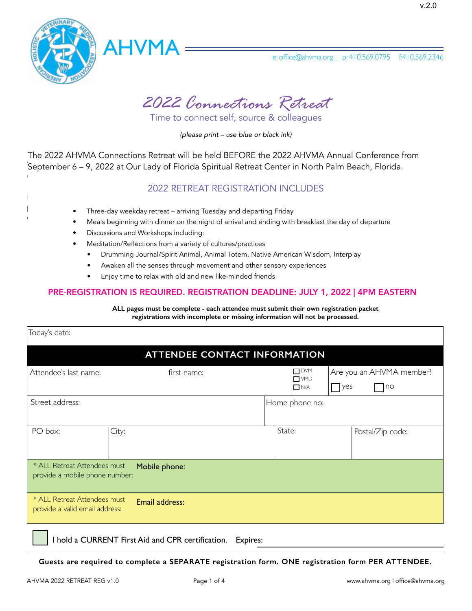



**2019 Healer, Heal Thyself Retreat** *2022 Connections Retreat*

**REGISTRATION** Time to connect self, source & colleagues

*(please print – use blue or black ink)*

.<br>September 6 – 9, 2022 at Our Lady of Florida Spiritual Retreat Center in North Palm Beach, Florida. The 2022 AHVMA Connections Retreat will be held BEFORE the 2022 AHVMA Annual Conference from

#### Nestled in a valley of Pleasantville, TN, NaCoMe Camp & Retreat Center is a home away from home for generations of 2022 RETREAT REGISTRATION INCLUDES

- Three-day weekday retreat arriving Tuesday and departing Friday Three-day weekday retreat arriving Tuesday and departing Friday
- early, as *space of arrival is strictly limiting* is string in the proton of the retreating. The strictly and the strictly and ending with breakfast the day of departure
	- Discussions and Workshops including:

**Camp & Conference Center in Pleasantville, Tennessee.** 

- Meditation/Reflections from a variety of cultures/practices
	- **Three day weekday retreat arriving Tuesday and departing Friday • Meals beginning with dinner on the night of arrival and ending with breakfast the day of departure** • Drumming Journal/Spirit Animal, Animal Totem, Native American Wisdom, Interplay
	- Awaken all the senses through movement and other sensory experiences
	- Enjoy time to relax with old and new like-minded friends

### PRE-REGISTRATION IS REQUIRED. REGISTRATION DEADLINE: JULY 1, 2022 | 4PM EASTERN

**ALL pages must be complete - each attendee must submit their own registration packet registrations with incomplete or missing information will not be processed.** 

| Today's date:                                                                    |                                                                                       |  |  |  |  |
|----------------------------------------------------------------------------------|---------------------------------------------------------------------------------------|--|--|--|--|
| <b>ATTENDEE CONTACT INFORMATION</b>                                              |                                                                                       |  |  |  |  |
| Attendee's last name:<br>first name:                                             | $\Box$ DVM<br>Are you an AHVMA member?<br>$\Box$ VMD<br>  no<br>$\Box$ N/A<br>$ $ yes |  |  |  |  |
| Street address:                                                                  | Home phone no:                                                                        |  |  |  |  |
| PO box:<br>City:                                                                 | State:<br>Postal/Zip code:                                                            |  |  |  |  |
| * ALL Retreat Attendees must<br>Mobile phone:<br>provide a mobile phone number:  |                                                                                       |  |  |  |  |
| * ALL Retreat Attendees must<br>Email address:<br>provide a valid email address: |                                                                                       |  |  |  |  |

I hold a CURRENT First Aid and CPR certification. Expires:

**Guests are required to complete a SEPARATE registration form. ONE registration form PER ATTENDEE.**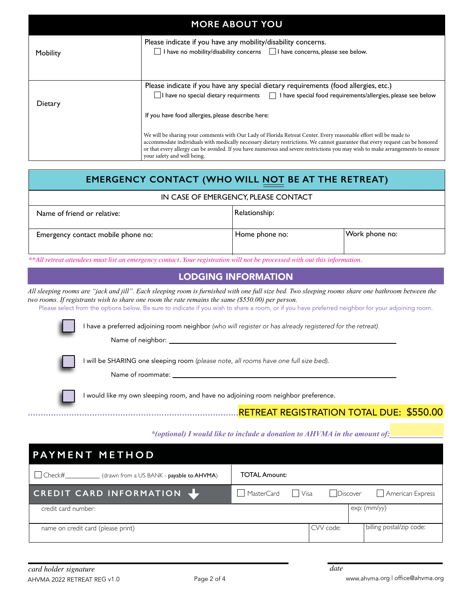| <b>MORE ABOUT YOU</b> |                                                                                                                                                                                                                                                                                                                                                                                                                                                                         |  |  |
|-----------------------|-------------------------------------------------------------------------------------------------------------------------------------------------------------------------------------------------------------------------------------------------------------------------------------------------------------------------------------------------------------------------------------------------------------------------------------------------------------------------|--|--|
| Mobility              | Please indicate if you have any mobility/disability concerns.<br>I have no mobility/disability concerns I have concerns, please see below.                                                                                                                                                                                                                                                                                                                              |  |  |
| Dietary               | Please indicate if you have any special dietary requirements (food allergies, etc.)<br>$\Box$ I have no special dietary requirments $\Box$ I have special food requirements/allergies, please see below                                                                                                                                                                                                                                                                 |  |  |
|                       | If you have food allergies, please describe here:<br>We will be sharing your comments with Our Lady of Florida Retreat Center. Every reasonable effort will be made to<br>accommodate individuals with medically necessary dietary restrictions. We cannot guarantee that every request can be honored<br>or that every allergy can be avoided. If you have numerous and severe restrictions you may wish to make arrangements to ensure<br>your safety and well being. |  |  |

| <b>EMERGENCY CONTACT (WHO WILL NOT BE AT THE RETREAT)</b> |                |                |  |
|-----------------------------------------------------------|----------------|----------------|--|
| IN CASE OF EMERGENCY, PLEASE CONTACT                      |                |                |  |
| Name of friend or relative:                               | Relationship:  |                |  |
| Emergency contact mobile phone no:                        | Home phone no: | Work phone no: |  |

\*\*All retreat attendees must list an emergency contact. Your registration will not be processed with out this information.

# **LODGING INFORMATION**

two rooms. If registrants wish to share one room the rate remains the same (\$550.00) per person. *All sleeping rooms are "jack and jill". Each sleeping room is furnished with one full size bed. Two sleeping rooms share one bathroom between the* 

Please select from the options below. Be sure to indicate if you wish to share a room, or if you have preferred neighbor for your adjoining room.

I have a preferred adjoining room neighbor (who will register or has already registered for the retreat). *Participants will be assigned to specific rooms by AHVMA. Only room A is handicap accessible and will be assigned to an eligible participant*

Cabin 10 also features an expansive covered porch. The Infirmary has two private rooms with a shared screened-in porch. **The Cook's Cabin has four individuals or individuals or contract for individuals or contract or couples.**<br> **Cabins may not be reserved or couples.** 

who has a has a has a has a has a has a has a has a has a has a has a has a has a has a has a has a has a has a

*payment in full.*

MY SECOND CHOICE IS:

*if my first choice is not available*

I will be SHARING one sleeping room *(please note, all rooms have one full size bed)*.

Name of roommate: \_

I would like my own sleeping room, and have no adjoining room neighbor preference. re no adjoining room neignoor preference.

# *includes meals, activities, administrative and speaker fees* ..................................................................................RETREAT REGISTRATION TOTAL DUE: \$550.00

*add amount from cabin choice above*

### **TOTAL AMOUNT DUE:**  \_\_\_\_\_\_\_\_\_\_\_\_\_\_\_\_\_\_\_\_\_\_\_\_\_\_\_\_\_\_\_\_\_ *\*(optional) I would like to include a donation to AHVMA in the amount of:\_\_\_\_\_\_\_\_\_\_\_\_\_\_*

| <b>PAYMENT METHOD</b>                                       |                                                      |  |  |  |
|-------------------------------------------------------------|------------------------------------------------------|--|--|--|
| $\vert$ Check#<br>(drawn from a US BANK - payable to AHVMA) | <b>TOTAL Amount:</b>                                 |  |  |  |
| CREDIT CARD INFORMATION \                                   | MasterCard<br>American Express<br>  Visa<br>Discover |  |  |  |
| credit card number:                                         | $exp:$ $(mm/yy)$                                     |  |  |  |
| name on credit card (please print)                          | billing postal/zip code:<br>CVV code:                |  |  |  |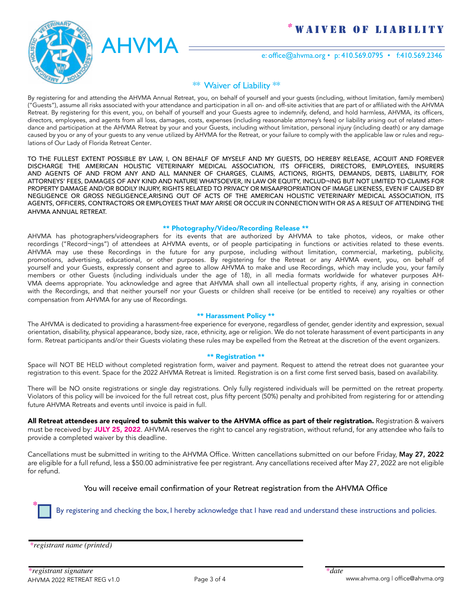

 $AHVMA$   $=$   $e:$  office@ahvma.org • p: 410.569.0795 • f:410.569.2346  $AHVMA$   $=$   $\frac{e: \text{office@abvma.org} \cdot p: 410.569.0795 \cdot f: 410.569.2346}{e: \text{office@abvma.org} \cdot p: 410.569.0795 \cdot f: 410.569.2346}$ 

### \*\* Waiver of Liability \*\*

o Latency<br>By registering for and attending the AHVMA Annual Retreat, you, on behalf of yourself and your guests (including, without limitation, family members) by registering for and attending the AHVMA Annual Retreat, you, on behan of yoursen and your guests (including, without imitation, family members)<br>("Guests"), assume all risks associated with your attendance and participat Retreat. By registering for this event, you, on behalf of yourself and your Guests agree to indemnify, defend, and hold harmless, AHVMA, its officers, directors, employees, and agents from all loss, damages, costs, expenses (including reasonable attorney's fees) or liability arising out of related attendance and participation at the AHVMA Retreat by your and your Guests, including without limitation, personal injury (including death) or any damage caused by you or any of your guests to any venue utilized by AHVMA for the Retreat, or your failure to comply with the applicable law or rules and regu-<br>Istians of Qual asks of Flarida Batter Canter and regulations of NaCome Center Center. lations of Our Lady of Florida Retreat Center.

DISCHARGE THE AMERICAN HOLISTIC VETERINARY MEDICAL ASSOCIATION, ITS OFFICERS, DIRECTORS, EMPLOYEES, INSURERS AND AGENTS OF AND FROM ANY AND ALL MANNER OF CHARGES, CLAIMS, ACTIONS, RIGHTS, DEMANDS, DEBTS, LIABILITY, FOR<br>And all the claims of a claim of the contract of the contract of the claim of the claim of the claims of the c ATTOMACTS FEES, DAMAGES OF ANT NIND AND RENTRAL MANISOLEVEN, IN LAW ON BLOUTT, INVELUD THIS LETTER IN THE FOUR<br>PROPERTY DAMAGE AND/OB BODILY IN ILIDY BIGHTS DELATED TO BBIVACY OB MISA ABBORBIATION OF IMAGE LIKENESS. EVEN I NEGLIGENCE OR GROSS NEGLIGENCE,ARISING OUT OF ACTS OF THE AMERICAN HOLISTIC VETERINARY MEDICAL ASSOCIATION, ITS AGENTS, OFFICERS, CONTRACTORS OR EMPLOYEES THAT MAY ARISE OR OCCUR IN CONNECTION WITH OR AS A RESULT OF ATTENDING THE AHVMA ANNUAL RETREAT. TO THE FULLEST EXTENT POSSIBLE BY LAW, I, ON BEHALF OF MYSELF AND MY GUESTS, DO HEREBY RELEASE, ACQUIT AND FOREVER ATTORNEYS' FEES, DAMAGES OF ANY KIND AND NATURE WHATSOEVER, IN LAW OR EQUITY, INCLUD¬ING BUT NOT LIMITED TO CLAIMS FOR PROPERTY DAMAGE AND/OR BODILY INJURY, RIGHTS RELATED TO PRIVACY OR MISAAPROPRIATION OF IMAGE LIKENESS, EVEN IF CAUSED BY<br>NEGLIGENCE, OR GROSS, NEGLIGENCE ANGING, QUE OF ACTS OF THE AMERICAN HOLISTIC VETENNARY MERICAL ASSOC

#### OF THE AMERICAN HOLISTIC VETERINARY MEDICAL ASSOCIATION, ITS AGENTS, OFFICERS, CONTRACTORS OR EMPLOYEES OF THE AMERICAN HOLISTIC VETERINARY MEDICAL ASSOCIATION, ITS AGENTS, OFFICERS, CONTRACTORS OR EMPLOYEES \*\* Photography/Video/Recording Release \*\*

The May are or occur in connection with the annual result of a result of a result of a result of a result of a<br>The american property of a retreat of a retreat. And the american property of a retreat of a retreat. The ameri recordings (incedid ings) or attendees at ATTWA events, or or people participating in functions or activities related to these events.<br>AHVMA may use these Recordings in the future for any purpose, including without limitat AHVMA may use tnese kecordings in the future for any purpose, including without limitation, commercial, marketing, publicity,<br>promotions, advertising, educational, or other purposes. By registering for the Retreat or any A yourself and your Guests, expressly consent and agree to allow AHVMA to make and use Recordings, which may include you, your family members or other Guests (including individuals under the age of 18), in all media formats worldwide for whatever purposes AH-VMA deems appropriate. You acknowledge and agree that AHVMA shall own all intellectual property rights, if any, arising in connection with the Recordings, and that neither yourself nor your Guests or children shall receive (or be entitled to receive) any royalties or other compensation from AHVMA for any use of Recordings. AHVMA has photographers/videographers for its events that are authorized by AHVMA to take photos, videos, or make other recordings ("Record¬ings") of attendees at AHVMA events, or of people participating in functions or activities related to these events.

#### any, arising in connection with the Recordings, and the Recordings or children shall receive (or be entitled to receive) any rotation or children shall receive (or be entitled to receive) any rotation  $\alpha$ \*\* Harassment Policy \*\*

**The AHVMA is dedicated to providing a barassment-free experience for evenings.**<br>The AHVMA is dedicated to providing a barassment-free experience for evenings regardless of gender gender identity and expression, sexual 1ese rules may be expelled fro The AHVMA is dedicated to providing a harassment-free experience for everyone, regardless of gender, gender identity and expression, sexual<br>We also have a control of the competition of the competition of the competition of form. Retreat participants and/or their Guests violating these rules may be expelled from the Retreat at the discretion of the event organizers.<br>. orientation, disability, physical appearance, body size, race, ethnicity, age or religion. We do not tolerate harassment of event participants in any

#### $**$  Registration  $**$

orientation, disability, physical appearance, race, race, race, race, race, race, ethnicity, age or religion.<br>We do not to lead the event participants in any form. We do not to even participants in any form. In any form, Participants and the metal window completed registration form, waiver and payment. Request to attend the retreat does not guaranteed from the event of the event of the event of the event of the event organization of the ev Space will NOT BE HELD without completed registration form, waiver and payment. Request to attend the retreat does not guarantee your registration to this event. Space for the 2022 AHVMA Retreat is limited. Registration is on a first come first served basis, based on availability.

There will be NO onsite registrations or single day registrations. Only fully registered individuals will be permitted on the retreat property. Violators of this policy will be invoiced for the full retreat cost, plus fifty percent (50%) penalty and prohibited from registering for or attending Future AHVMA Retreats and events until invoice is paid in full.

**All Retreat attendees are required to submit this waiver to the AHVMA office as part of their registration.** Registration & waivers must be received by: JULY 25, 2022. AHVMA reserves the right to cancel any registration, without refund, for any attendee who fails to provide a completed waiver by this deadline.  $\hfill$ 

Cancellations must be submitted in writing to the AHVMA Office. Written cancellations submitted on our before Friday, **May 27, 2022** are eligible for a full refund, less a \$50.00 administrative fee per registrant. Any cancellations received after May 27, 2022 are not eligible<br>.  $2019$  reserves the right to cancel any registration, with the right to provide a completed waiver by this deadline. The right to provide a complete a completed waiver by this deadline. The completed waiver by this deadli for refund.

> You will receive **email confirmation** of your Retreat registration from the AHVMA Office You will receive email confirmation of your Retreat registration from the AHVMA Office

By registering and checking the box, I hereby acknowledge that I have read and understand these instructions and policies. By registering and checking the box, I hereby acknowledge that I have read and understand these instructions and policies.

*\*registrant name (printed) \*registrant name (printed)*

**\***

**\***